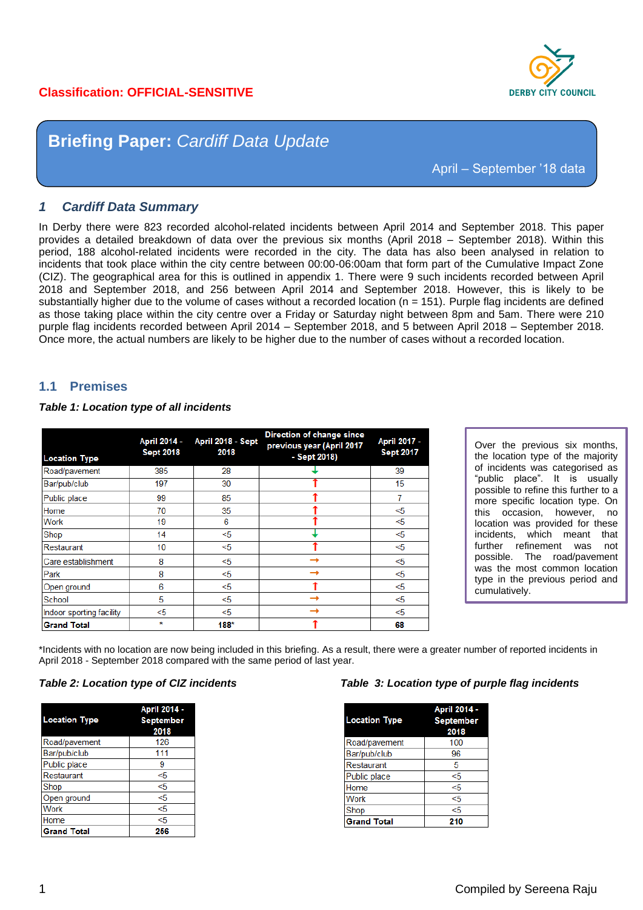# **Classification: OFFICIAL-SENSITIVE**



# **Briefing Paper:** *Cardiff Data Update*

April – September '18 data

#### *1 Cardiff Data Summary*

In Derby there were 823 recorded alcohol-related incidents between April 2014 and September 2018. This paper provides a detailed breakdown of data over the previous six months (April 2018 – September 2018). Within this period, 188 alcohol-related incidents were recorded in the city. The data has also been analysed in relation to incidents that took place within the city centre between 00:00-06:00am that form part of the Cumulative Impact Zone (CIZ). The geographical area for this is outlined in appendix 1. There were 9 such incidents recorded between April 2018 and September 2018, and 256 between April 2014 and September 2018. However, this is likely to be substantially higher due to the volume of cases without a recorded location ( $n = 151$ ). Purple flag incidents are defined as those taking place within the city centre over a Friday or Saturday night between 8pm and 5am. There were 210 purple flag incidents recorded between April 2014 – September 2018, and 5 between April 2018 – September 2018. Once more, the actual numbers are likely to be higher due to the number of cases without a recorded location.

#### **1.1 Premises**

*be*

#### *Table 1: Location type of all incidents*

| <b>Location Type</b>     | April 2014 -<br><b>Sept 2018</b> | April 2018 - Sept<br>2018 | Direction of change since<br>previous year (April 2017<br>- Sept 2018) | April 2017 -<br><b>Sept 2017</b> |
|--------------------------|----------------------------------|---------------------------|------------------------------------------------------------------------|----------------------------------|
| Road/pavement            | 385                              | 28                        |                                                                        | 39                               |
| Bar/pub/club             | 197                              | 30                        |                                                                        | 15                               |
| Public place             | 99                               | 85                        |                                                                        |                                  |
| Home                     | 70                               | 35                        |                                                                        | <5                               |
| <b>Work</b>              | 19                               | 6                         |                                                                        | <5                               |
| Shop                     | 14                               | <5                        |                                                                        | $<$ 5                            |
| Restaurant               | 10                               | $<$ 5                     |                                                                        | <5                               |
| Care establishment       | 8                                | <5                        |                                                                        | <5                               |
| Park                     | 8                                | $<$ 5                     |                                                                        | <5                               |
| Open ground              | 6                                | $<$ 5                     |                                                                        | <5                               |
| School                   | 5                                | <5                        |                                                                        | <5                               |
| Indoor sporting facility | $<$ 5                            | < 5                       |                                                                        | <5                               |
| <b>Grand Total</b>       | $\mathbf{r}$                     | $188*$                    |                                                                        | 68                               |

Over the previous six months, the location type of the majority of incidents was categorised as "public place". It is usually possible to refine this further to a more specific location type. On this occasion, however, no location was provided for these incidents, which meant that further refinement was not possible. The road/pavement was the most common location type in the previous period and cumulatively.

\*Incidents with no location are now being included in this briefing. As a result, there were a greater number of reported incidents in April 2018 - September 2018 compared with the same period of last year.

|                      | April 2014 -     |  |
|----------------------|------------------|--|
| <b>Location Type</b> | <b>September</b> |  |
|                      | 2018             |  |
| Road/pavement        | 126              |  |
| Bar/pub/club         | 111              |  |
| Public place         | 9                |  |
| Restaurant           | <5               |  |
| Shop                 | <5               |  |
| Open ground          | <5               |  |
| Work                 | $5$              |  |
| Home                 | <5               |  |
| <b>Grand Total</b>   | 256              |  |

#### *Table 2: Location type of CIZ incidents Table 3: Location type of purple flag incidents*

| <b>Location Type</b> | April 2014 -<br><b>September</b><br>2018 |
|----------------------|------------------------------------------|
| Road/pavement        | 100                                      |
| Bar/pub/club         | 96                                       |
| Restaurant           | 5                                        |
| Public place         | <5                                       |
| Home                 | <5                                       |
| Work                 | <5                                       |
| Shop                 | <5                                       |
| <b>Grand Total</b>   | 210                                      |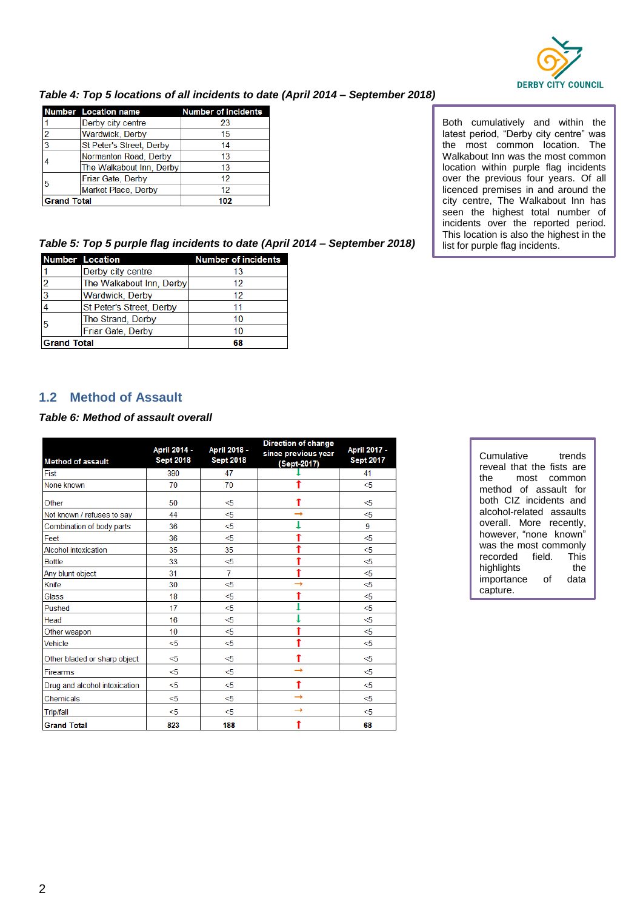

#### *Table 4: Top 5 locations of all incidents to date (April 2014 – September 2018)*

|                        | <b>Number</b> Location name | <b>Number of incidents</b> |
|------------------------|-----------------------------|----------------------------|
|                        | Derby city centre           | 23                         |
| າ                      | Wardwick, Derby             | 15                         |
| 3                      | St Peter's Street, Derby    | 14                         |
|                        | Normanton Road, Derby       | 13                         |
|                        | The Walkabout Inn, Derby    | 13                         |
| Friar Gate, Derby<br>5 |                             | 12                         |
|                        | Market Place, Derby         | 12                         |
| <b>Grand Total</b>     |                             | 102                        |

Both cumulatively and within the latest period, "Derby city centre" was the most common location. The Walkabout Inn was the most common location within purple flag incidents over the previous four years. Of all licenced premises in and around the city centre, The Walkabout Inn has seen the highest total number of incidents over the reported period. This location is also the highest in the list for purple flag incidents.

*Table 5: Top 5 purple flag incidents to date (April 2014 – September 2018)*

|                    | <b>Number Location</b>   | <b>Number of incidents</b> |
|--------------------|--------------------------|----------------------------|
|                    | Derby city centre        | 13                         |
|                    | The Walkabout Inn, Derby | 12                         |
| R                  | <b>Wardwick, Derby</b>   | 12                         |
|                    | St Peter's Street, Derby | 11                         |
| 5                  | The Strand, Derby        | 10                         |
|                    | Friar Gate, Derby        | 10                         |
| <b>Grand Total</b> |                          | 68                         |

# **1.2 Method of Assault**

#### *Table 6: Method of assault overall*

| <b>Method of assault</b>      | April 2014 -<br><b>Sept 2018</b> | April 2018 -<br><b>Sept 2018</b> | <b>Direction of change</b><br>since previous year<br>(Sept-2017) | April 2017 -<br><b>Sept 2017</b> |
|-------------------------------|----------------------------------|----------------------------------|------------------------------------------------------------------|----------------------------------|
| Fist                          | 390                              | 47                               |                                                                  | 41                               |
| None known                    | 70                               | 70                               |                                                                  | < 5                              |
| Other                         | 50                               | <5                               |                                                                  | $<$ 5                            |
| Not known / refuses to say    | 44                               | $5$                              | →                                                                | < 5                              |
| Combination of body parts     | 36                               | $5$                              |                                                                  | 9                                |
| Feet                          | 36                               | $5$                              | ↑                                                                | < 5                              |
| <b>Alcohol intoxication</b>   | 35                               | 35                               | ↑                                                                | < 5                              |
| <b>Bottle</b>                 | 33                               | $<$ 5                            | ↑                                                                | < 5                              |
| Any blunt object              | 31                               | 7                                | ↑                                                                | < 5                              |
| Knife                         | 30                               | $5$                              | →                                                                | < 5                              |
| Glass                         | 18                               | $5$                              |                                                                  | < 5                              |
| Pushed                        | 17                               | $<$ 5                            |                                                                  | < 5                              |
| Head                          | 16                               | $<$ 5                            |                                                                  | < 5                              |
| Other weapon                  | 10                               | $5$                              | ↑                                                                | < 5                              |
| Vehicle                       | $5$                              | $5$                              | t                                                                | < 5                              |
| Other bladed or sharp object  | $5$                              | $<$ 5                            |                                                                  | $<$ 5                            |
| Firearms                      | < 5                              | $<$ 5                            | $\rightarrow$                                                    | < 5                              |
| Drug and alcohol intoxication | < 5                              | <5                               | t                                                                | < 5                              |
| Chemicals                     | $<$ 5                            | <5                               |                                                                  | $<$ 5                            |
| <b>Trip/fall</b>              | < 5                              | $<$ 5                            |                                                                  | $<$ 5                            |
| <b>Grand Total</b>            | 823                              | 188                              |                                                                  | 68                               |

| Cumulative                | trends |      |
|---------------------------|--------|------|
| reveal that the fists are |        |      |
| the most common           |        |      |
| method of assault for     |        |      |
| both CIZ incidents and    |        |      |
| alcohol-related assaults  |        |      |
| overall. More recently,   |        |      |
| however, "none known"     |        |      |
| was the most commonly     |        |      |
| recorded field. This      |        |      |
| highlights                |        | the  |
| importance                | ∩f     | data |
| capture.                  |        |      |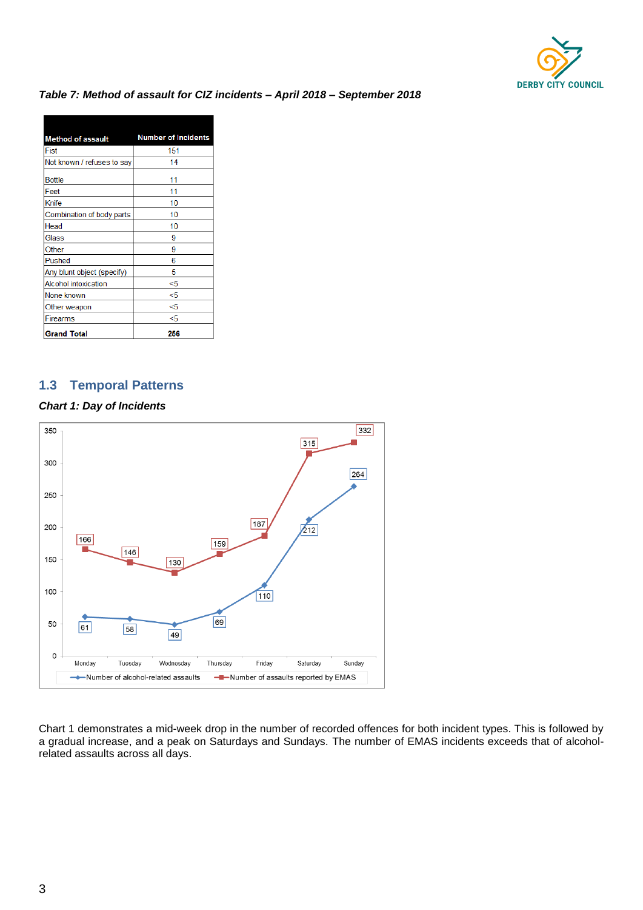

#### *Table 7: Method of assault for CIZ incidents – April 2018 – September 2018*

| <b>Method of assault</b>    | <b>Number of Incidents</b> |
|-----------------------------|----------------------------|
| Fist                        | 151                        |
| Not known / refuses to say  | 14                         |
| <b>Bottle</b>               | 11                         |
| Feet                        | 11                         |
| Knife                       | 10                         |
| Combination of body parts   | 10                         |
| Head                        | 10                         |
| Glass                       | 9                          |
| Other                       | 9                          |
| Pushed                      | 6                          |
| Any blunt object (specify)  | 5                          |
| <b>Alcohol intoxication</b> | <5                         |
| None known                  | <5                         |
| Other weapon                | <5                         |
| Firearms                    | <5                         |
| <b>Grand Total</b>          | 256                        |

# **1.3 Temporal Patterns**

#### *Chart 1: Day of Incidents*



Chart 1 demonstrates a mid-week drop in the number of recorded offences for both incident types. This is followed by a gradual increase, and a peak on Saturdays and Sundays. The number of EMAS incidents exceeds that of alcoholrelated assaults across all days.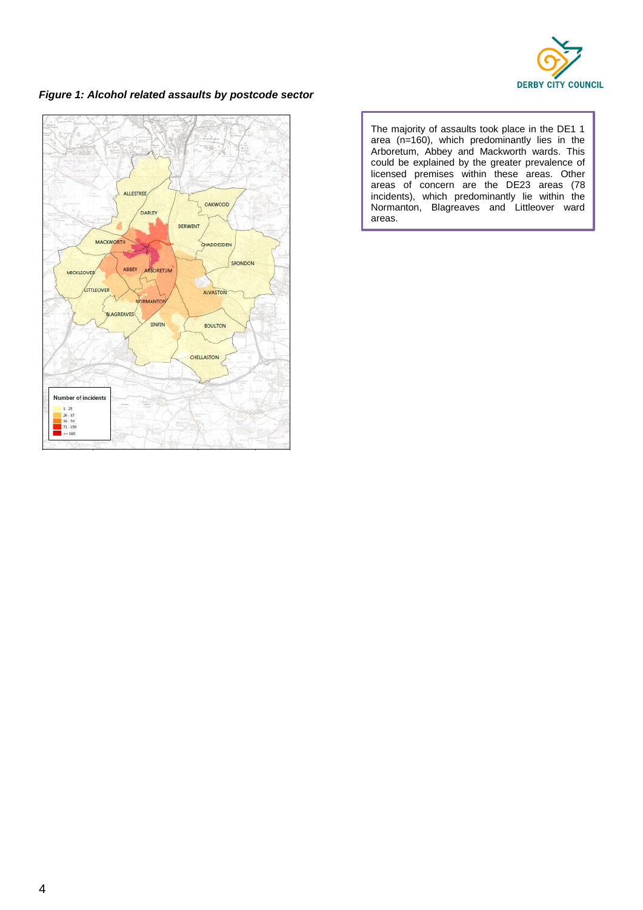

### *Figure 1: Alcohol related assaults by postcode sector*



The majority of assaults took place in the DE1 1 area (n=160), which predominantly lies in the Arboretum, Abbey and Mackworth wards. This could be explained by the greater prevalence of licensed premises within these areas. Other areas of concern are the DE23 areas (78 incidents), which predominantly lie within the Normanton, Blagreaves and Littleover ward areas.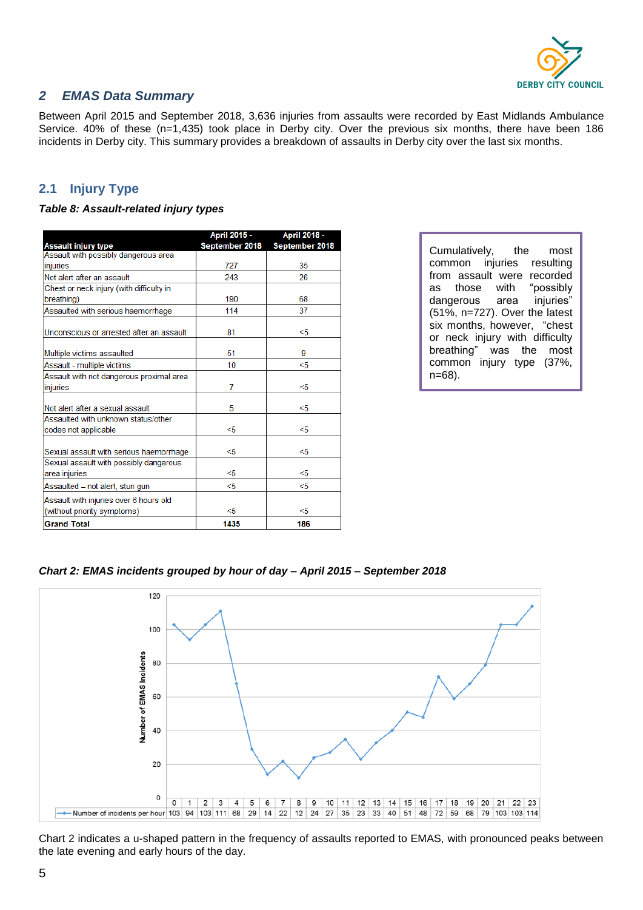

# *2 EMAS Data Summary*

Between April 2015 and September 2018, 3,636 injuries from assaults were recorded by East Midlands Ambulance Service. 40% of these (n=1,435) took place in Derby city. Over the previous six months, there have been 186 incidents in Derby city. This summary provides a breakdown of assaults in Derby city over the last six months.

# **2.1 Injury Type**

#### *Table 8: Assault-related injury types*

|                                                                    | April 2015 -   | April 2018 -   |
|--------------------------------------------------------------------|----------------|----------------|
| <b>Assault injury type</b><br>Assault with possibly dangerous area | September 2018 | September 2018 |
|                                                                    | 727            | 35             |
| injuries                                                           |                |                |
| Not alert after an assault                                         | 243            | 26             |
| Chest or neck injury (with difficulty in                           |                |                |
| breathing)                                                         | 190            | 68             |
| Assaulted with serious haemorrhage                                 | 114            | 37             |
| Unconscious or arrested after an assault                           | 81             | <5             |
| Multiple victims assaulted                                         | 51             | 9              |
| Assault - multiple victims                                         | 10             | <5             |
| Assault with not dangerous proximal area                           |                |                |
| injuries                                                           | 7              | <5             |
| Not alert after a sexual assault                                   | 5              | <5             |
| Assaulted with unknown status/other                                |                |                |
| codes not applicable                                               | <5             | < 5            |
| Sexual assault with serious haemorrhage                            | <5             | <5             |
| Sexual assault with possibly dangerous                             |                |                |
| area injuries                                                      | <5             | <5             |
| Assaulted - not alert, stun gun                                    | <5             | $<$ 5          |
| Assault with injuries over 6 hours old                             |                |                |
| (without priority symptoms)                                        | <5             | <5             |
| <b>Grand Total</b>                                                 | 1435           | 186            |

Cumulatively, the most common injuries resulting from assault were recorded as those with "possibly dangerous area injuries" (51%, n=727). Over the latest six months, however, "chest or neck injury with difficulty breathing" was the most common injury type (37%, n=68).

#### *Chart 2: EMAS incidents grouped by hour of day – April 2015 – September 2018*



Chart 2 indicates a u-shaped pattern in the frequency of assaults reported to EMAS, with pronounced peaks between the late evening and early hours of the day.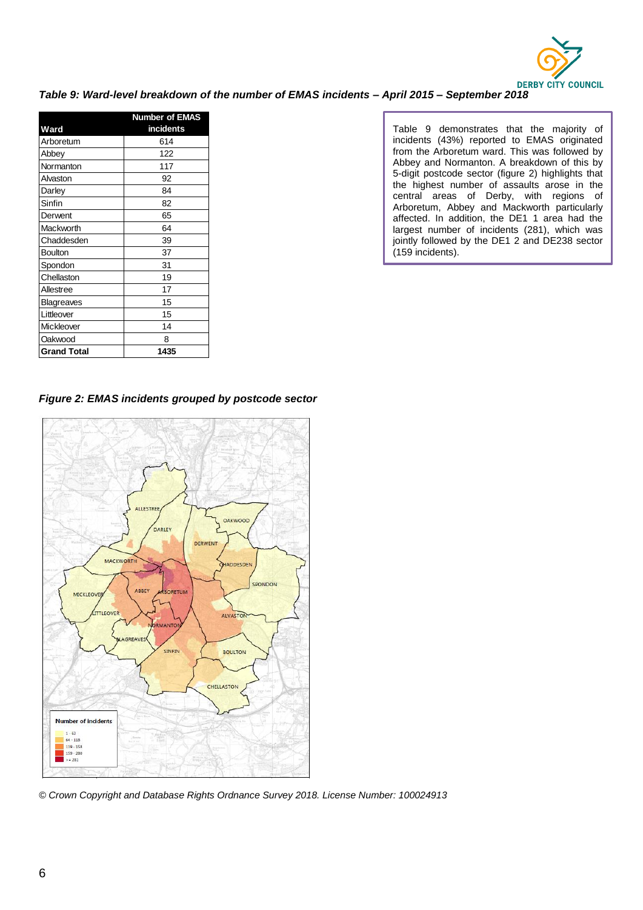

#### *Table 9: Ward-level breakdown of the number of EMAS incidents – April 2015 – September 2018*

| <b>Number of EMAS</b> |           |
|-----------------------|-----------|
| Ward                  | incidents |
| Arboretum             | 614       |
| Abbey                 | 122       |
| Normanton             | 117       |
| Alvaston              | 92        |
| Darley                | 84        |
| Sinfin                | 82        |
| Derwent               | 65        |
| Mackworth             | 64        |
| Chaddesden            | 39        |
| <b>Boulton</b>        | 37        |
| Spondon               | 31        |
| Chellaston            | 19        |
| Allestree             | 17        |
| <b>Blagreaves</b>     | 15        |
| Littleover            | 15        |
| Mickleover            | 14        |
| Oakwood               | 8         |
| <b>Grand Total</b>    | 1435      |

Table 9 demonstrates that the majority of incidents (43%) reported to EMAS originated from the Arboretum ward. This was followed by Abbey and Normanton. A breakdown of this by 5-digit postcode sector (figure 2) highlights that the highest number of assaults arose in the central areas of Derby, with regions of Arboretum, Abbey and Mackworth particularly affected. In addition, the DE1 1 area had the largest number of incidents (281), which was jointly followed by the DE1 2 and DE238 sector (159 incidents).





*© Crown Copyright and Database Rights Ordnance Survey 2018. License Number: 100024913*